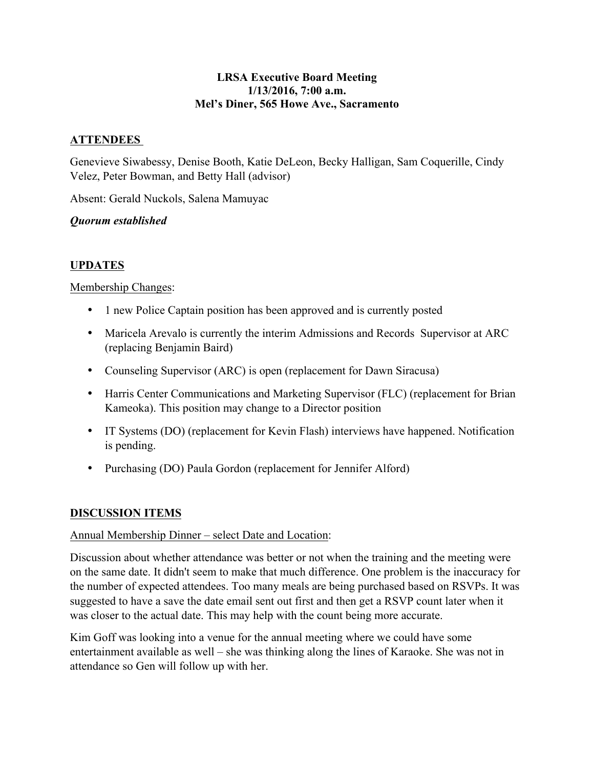#### **LRSA Executive Board Meeting 1/13/2016, 7:00 a.m. Mel's Diner, 565 Howe Ave., Sacramento**

## **ATTENDEES**

Genevieve Siwabessy, Denise Booth, Katie DeLeon, Becky Halligan, Sam Coquerille, Cindy Velez, Peter Bowman, and Betty Hall (advisor)

Absent: Gerald Nuckols, Salena Mamuyac

### *Quorum established*

# **UPDATES**

### Membership Changes:

- 1 new Police Captain position has been approved and is currently posted
- Maricela Arevalo is currently the interim Admissions and Records Supervisor at ARC (replacing Benjamin Baird)
- Counseling Supervisor (ARC) is open (replacement for Dawn Siracusa)
- Harris Center Communications and Marketing Supervisor (FLC) (replacement for Brian Kameoka). This position may change to a Director position
- IT Systems (DO) (replacement for Kevin Flash) interviews have happened. Notification is pending.
- Purchasing (DO) Paula Gordon (replacement for Jennifer Alford)

#### **DISCUSSION ITEMS**

#### Annual Membership Dinner – select Date and Location:

Discussion about whether attendance was better or not when the training and the meeting were on the same date. It didn't seem to make that much difference. One problem is the inaccuracy for the number of expected attendees. Too many meals are being purchased based on RSVPs. It was suggested to have a save the date email sent out first and then get a RSVP count later when it was closer to the actual date. This may help with the count being more accurate.

Kim Goff was looking into a venue for the annual meeting where we could have some entertainment available as well – she was thinking along the lines of Karaoke. She was not in attendance so Gen will follow up with her.